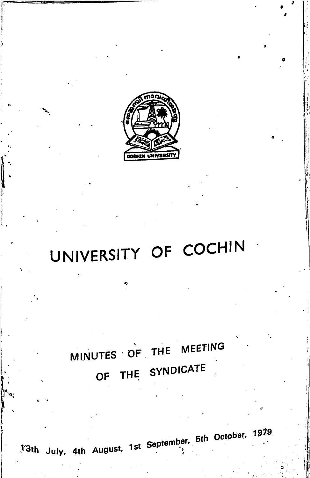

# UNIVERSITY OF COCHIN

## MINUTES OF THE MEETING OF THE SYNDICATE

<sup>1</sup>3th July, 4th August, 1st September, 5th October, 1979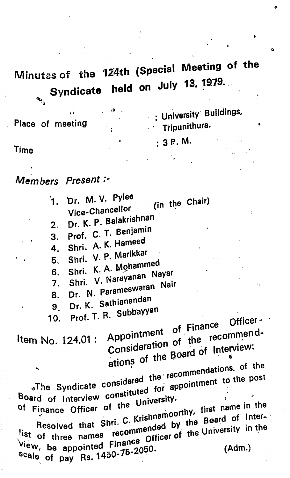#### Minutes of the 124th (Special Meeting of the July 13.1975. **Syndicate**

: University Buildings, (0 . Place of meeting **Tripunithura.**  $\mathcal{L}_{\text{max}}$  $:3P. M.$ 

Time

ł

Members Present:-

<sup>2</sup>1. Dr. M.V. Pylee<br>Vice-Chancellor Vice-Chancellor 2. Dr. K. P. Balakrishnan 3. Prof. C. T. Benjamin<br>4. Shri. A. K. Hameed 4. Shri. A. K.  $\frac{1}{2}$ . Marikka 5. Shri. V. P. Waynes 6. Shri. K. A. Mohammed Shri. V- " Dr. N. Parameter 9. Dr. K. Sathianandan Dr. K. Sathianandan<br>Prof. T. R. Subbayy<mark>an</mark> 7. 8. (i n the Chair) 10. Shri. V. Narayanan Nayar Nair , Officerrecommentuof Finance Consideration of the recommend-<br>ations of the Board of Interview: decommendations. Of the post The Syndicate considered for appointment to the post-Item No. 124.01 where syndicate considered the appointment to the post<br>Board of Interview constituted for appointment to the post<br>of Finance Officer of the University. <sup>of</sup> Finance Officer of the Dinemporthy, first name in the Resolved that Shri. C. Nishing by the Board of the Resolved that of three names recommended of the University in the University in the University in the University in the University in the University in the University in the University in the University of the University in the Univers <sup>view,</sup> be appoint<sup>ed ring</sup> 2050. (Adm.)<br><sup>Scal</sup>e of pay Rs.1450-75-2050. scale of pay Rs.  $1450 - 75 - 2050$ .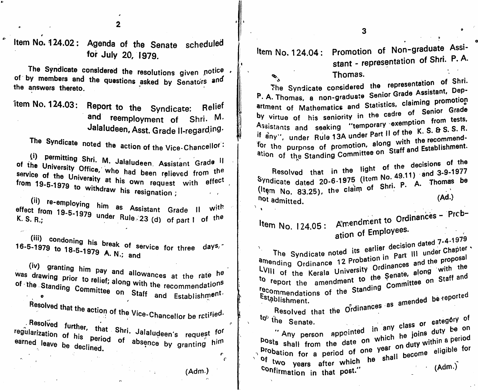2

Item No. 124.02; Agenda of the Senate scheduled for July 20, 1979.

The Syndicate considered the resolutions given notice  $\cdot$ <sup>or by</sup> members and the questions asked by Senators and<br>the answers thorate the answers thereto.

here is the Syndicate: Relief and reemployment of Shri. M. Jalaludeen, Asst. Grade II-regarding.

The Syndicate noted the action of the Vice-Chancellor:

s Politiculus Shri. M. Jalaludeen. Assistant Grade II service of the University Office, who had been relieved from the  $U$  to withdraw it. to with the resignation ; service of the from 19-5-1979

(Ad.) (ii)  $\frac{1}{2}$ e mont 19-5-1979 under Rule 22  $(1)$  $K.$  S. R.;  $R.$  Rule  $R.$  Rule  $R.$  $\mathbf{M}_{\mathbf{H}\mathbf{R}}$ 23 (d) of part I of the

(iii) condoning his break of service for three days.<br>-1979 to do a local condition of service for three days.  $16-5-1979$  to  $18-5-1970$  is a sub- $\frac{1}{2}$   $\frac{1}{2}$   $\frac{1}{2}$  A. N.; (iii) condoning his break of service for three  $\frac{days}{c}$ 

of the Standing Committee only the recommendation<sup>s</sup> in the report the amendment of the Standing Committee on Staff and Establishment.

 $\mathcal{L}$  and the the earned leave be declined. **Example Vice-Chancellor be retiried.** Jalaludeen's request <sup>for</sup> regularization of his period of absence by granting him Item No. 124.04: Promotion of Non-graduate Assi

stant - representation of Shri. P.A.

 $\mathcal{L}_{\hat{\mathcal{C}}}$ o<sub>n</sub> Thomas.<br>The Syndicate considered the representation of Shri. The Syndicate considered the Depior Grade Assistant, Department of Mathematics and Statistics, claiming promotion<br>by virtue of his seniority in the cadre of Senior Grade P. A. Thomas, a non-graduate Senior Assistants and seeking "temporary exemption from tests, if any", under Rule 13A under Part II of the K. S. & S. S. R. for the purpose of promotion, along with the recommendfor the purpose of promotion, are staff and Establishment. ation of the Standing Committee on

Resolved that in the light of the decisions of the Syndicate dated 20-6-1975 (Item No. 49.11) and 3-9-1977 Syndicate dated  $20-6.1975$  (Item No. 1976) A. Thomas be  $($  item No. 83.25), the claim of  $S^*$ . not admitted.

i

 $\pmb{\sigma}$  $\epsilon$ 

(Adm.)

No. 124.05: Amendment to Ordinances - Prcp-

ation of Employees.

under Chapter Chapter d the propose LVIII of the Kerala University Uluman along with the Committee on Starr and be reported earlier doors in  $L$  are  $...$ and The Syndicate noted its and Thending Ordinance Problem Ordinances an From the amendment to the vermittee on Staff and Establishment.  $\sigma$  report the amendment  $\sigma$ as amenu<del>o</del>u

> $R$  resolved that the  $Q$   $Q$  $\sim$  <sup>to</sup> the Senate.  $\sim$  class of category of shall from the date on which he is within a period eligible for a period of one year.<br>Of the shall become eligible for the Shall become eligible terms  $(Adm.)$ be on Senate. Any person appointed The two years after which he shall become eligible for confirmation in that post." class or he joins in any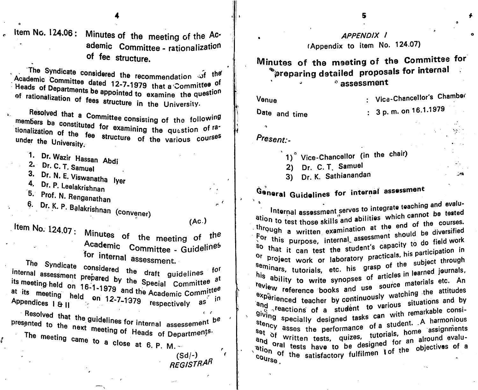Item No. 124.06: Minutes of the meeting of the Academic Committee - rationalization of fee structure.

The Syndicate considered the recommendation of the Academic Committee dated 12-7-1979 that a Committee of Heads of Departments be appointed to examine the question of rationalization of fees structure in the University.

Resolved that a Committee consisting of the following members be constituted for examining the question of rationalization of the fee structure of the various courses under the University.

1. Dr. Wazir Hassan Abdi

2. Dr. C. T. Samuel

3. Dr. N. E. Viswanatha Iyer 4. Dr. P. Leelakrishnan

5. Prof. N. Renganathan

6. Dr. K. P. Balakrishnan (convener)

 $(AC.)$ 

 $e^{-t}$ 

 $\Delta$ 

Item No. 124.07: Minutes of the meeting of the Academic Committee - Guidelines for internal assessment.

The Syndicate considered the draft guidelines for internal assessment prepared by the Special Committee at its meeting held on 16-1-1979 and the Academic Committee at its meeting held on 12-7-1979 respectively as in

Resolved that the guidelines for internal assessement  $b^e$ presented to the next meeting of Heads of Departments. The meeting came to a close at 6. P. M.  $\sim$ 

 $(Sd/-)$ REGISTRAR  $\epsilon$  $\epsilon$ 

**APPENDIX 1** (Appendix to item No. 124.07)

Minutes of the meeting of the Committee for  $^{\circ}$  preparing detailed proposals for internal  $^{\circ}$  assessment

Venue

: Vice-Chancellor's Chamber

in.

Date and time

 $: 3 p. m.$  on 16.1.1979

Present:-

 $\alpha$ 

1)° Vice-Chancellor (in the chair)

2) Dr. C. T. Samuel

3) Dr. K. Sathianandan

## General Guidelines for internal assessment

Internal assessment serves to integrate teaching and evaluation to test those skills and abilities which cannot be tested through a written examination at the end of the courses. For this purpose, internal assessment should be diversified so that it can test the student's capacity to do field work Or project work or laboratory practicals, his participation in Seminars, tutorials, etc. his grasp of the subject through his ability to write synopses of articles in learned journals, review reference books and use source materials etc. An experienced teacher by continuously watching the attitudes and students of a student to various situations and by giving specially designed tasks can with remarkable consistency specially designed tasks values. A harmonious series assess the performance of a student. A harmonious set of usses the performance of a students assignments<br>and a written tests, quizes, tutorials, home assignments and <sup>or written tests, quizes, tutorials, in alround evalu-<br>ation oral tests have to be designed for an ahiectives of a</sup> ation of the satisfactory fulfilmen tof the objectives of a  $c_{\rm OUTS\Theta}$ .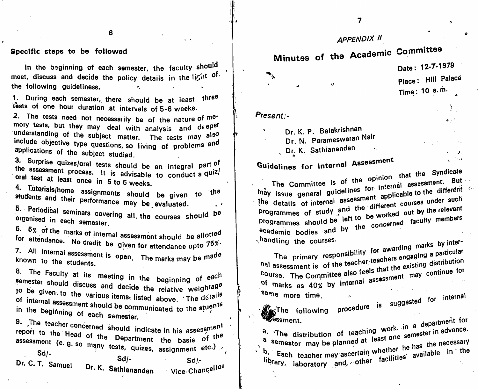### appendix II

## Minutes of the Academic Committee

 $\Omega$ 

Date: 12-7-1979 Place: Hill Palace Time: 10 a.m.

 $\Delta$ 

 $\sim 100$ 

#### Present:-

- A

Dr. K. P. Balakrishnan

Dr. N. Parameswaran Nair Dr. K. Sathianandan

### **Guidelines for Internal Assessment**

 $\frac{1}{2}$  ion that the Syndicate The Committee is of the original assessment. But -<br>"The general guidelines for internal assessment of different"  $\frac{1}{2}$  the details of internal assessment on courses under such The Committee is programmes of study and the different courses under such programmes should be left to be worked out by the relevant academic bodies and by the concerned faculty members vehicling the courses.

The primary responsibility Primary responsively in the seacher angaging a particular<br>hal assessment is of the teacher (teachers engaging a particular Course. The Committee also feels that the existing distribution of marks as 40% by internal assessment may continue for<br>Some more time

some more time. The second conducted for internal

is suggestod **Provide the set of the set of the set of the set of the set of the set of the set of the set of the set of the set of the set of the set of the set of the set of the set of the set of the set of the set of the set of the** 

a. The distribution of teaching work, we semester in advance.  $\sum_{n=1}^{\infty}$  semester may be planned at least  $\sum_{n=1}^{\infty}$ library the capture of the facilities ""<sup>orary,</sup> laboratory and, other fac $h_{\rm e}$  in the hat the hand the hand the hand the set of the set of the set of the set of the set of the set of the set of the set of the set of the set of the set of the set of the set of the set of the set of the set o the unstribution of teaching work. "I all advance.<br>a semester may be planned at least one semester in advance.

6

#### Specific steps to be followed

In the beginning of each semester, the faculty should meet, discuss and decide the policy details in the li $\mathcal{G}^{\mathfrak{a} \mathfrak{b}}$  of the following guideliness.  $\mathbf{c}$ 

1. During each semester, there should be at least three tests of one hour duration at intervals of 5-6 weeks.

2. The tests need not necessarily be of the nature of  $me^{-}$ mory tests, but they may deal with analysis and deeper understanding of the subject matter. The tests may also include objective type questions, so living of problems and **Primations of the subject studied.** 

3. Surprise quizes/oral tests should be an integral part of the assessment process. It is advisable to conduct a  $q^{u/z}$ oral test at least once in 5 to 6 weeks. process. It is advisable to conduct a quiz/

4. Tutorials/home students and their **p. Periodical seminars covering all, the courses should be**<br>Organised in each can organised i in each semester. assignments should be given to performance may be.evaluated. the

6. 5% of the m allotted arks of internal assessment should be <sup>for</sup> attendance. No credit be given for attendance upto 75 7. All internal assessment is open. The marks may be made<br>known to the students known to the students.

8. The Faculty at its meeting in the beginning of  $e^{a c h}$ semester should discuss and decide the relative weightage to be given, to the various items, listed above. The details of internal assessment should be communicated to the stuents<br>in the beginning of soul ''' <sup>the beginning of eac</sub></sup> and decide the relative weightage h semester.  $\begin{pmatrix} 1 & 1 & 1 & 1 \\ 1 & 1 & 1 & 1 \\ 1 & 1 & 1 & 1 \end{pmatrix}$  becomes procedure procedure

9. The teacher concerned should indicate in his assessment<br>report to the Head of the Department the basis of the assessment (e. g. so many tests, quizes, assignment etc.) Sd/ Dr. C. T. Samuel Sd/- Dr. K. Sathianand Sd/.- Vice-Chancellor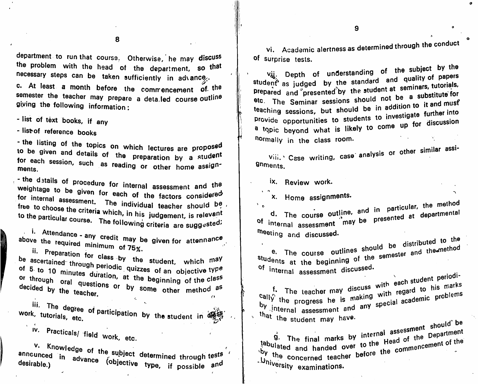8

department to run that course. Otherwise, he may discuss the problem with the head of the department, so that necessary steps can be taken sufficiently in advance.

 $n.$  At least a month to the taken sufficiently in advance  $f(x)$ c. At least a month before the commencement of the semester the teacher may prepare a deta.led course outline giving the following information:

- list of text books, if any

- list of reference books

listing of the topics on which lectures are proposed<br>given and details of the preparation by a student<br>ch session such as for each session, such as reading or other by ments. **The contract of the seating or other home assign-**

, - the d stalls of weightage to be for internal assessment. The individual teacher should be, **free** to choose the cri to the particular procedure for internal assessment and the aiven for each of the factors considered crite which, in his judgement, is relevant  $\sim$  are: The following criteria are suggested,

<sup>i,</sup> Attendance - any credit may be given for attennance<br>'<sup>e the</sup> required minimum assessiven for attennance above the required minimum of 75%

scertained through periodic student, which may **assortanted** through  $5$  to 10 minutes duration at it. The of an objective type or through oral questions or the beginning of the class questions or by some other method as be decided by the teacher. -colued by the

<sup>111</sup> degree of work, tutorials, etc. **participation by the student in**  $\delta_{\text{max}}^{\text{max}}$ 

Iv. Practicals/ field w

w

V. Knowledge of the subject determined through tests announced in desirable.) advance (objective through through test respocuve type, if possible and

vi. Academic alertness as determined through the conduct

of surprise tests.<br>
vij. Depth of understanding of the subject by the student as judged by the standard and quality of papers prepared and presented by the student at seminars, tutorials, etc. The Seminar sessions should not be a substitute for teaching sessions, but should be in addition to it and must provide opportunities to students to investigate further into provide opportunities to strate to come up for discussion a topic beyond what is likely to come up formally in the class room.

Vili. Case writing, case analysis or other similar assi-Qnments.

ix. Review work.

x. Home assignments.

 $\mathcal{F}(\mathbf{p})$ The course outline, and in particular, the course outline, and in particular, the departmental of internal assessment may be presented at 'Meeting and discussed.

The course outlines should be distributed to the students at the beginning of the semester of internal assessment discussed.

oral questions or the Deginning of the Class of the Class of the Class of the Class of the Class of the Class o<br>The Class of the Class of the Class of the Class of the Class of the Class of the Class of the Class of the Cl with each  $\frac{1}{2}$  or his marks f. The teacher may discuss with regard ecial academic making with academic propresses <sup>internal</sup> assessment and any op  $\mathbf{b}$  is the progress not is that the student may have.

should  $\mathbf{b}$ ork, etc. , which is a set of the same internal assessment pepartment internal of the pepartment or  $\mathbf{g}$ . The final marks by internal assessment pepartment The final marks by by the diated and handed over to the  $y_n$ .  $y_n$  concerned teacher before .University examinations. the